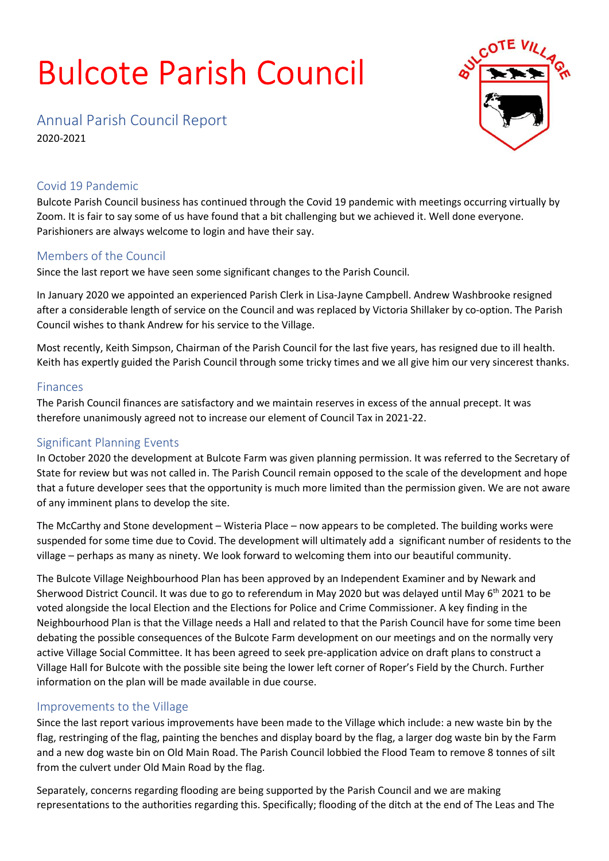# Bulcote Parish Council



Annual Parish Council Report

2020-2021

### Covid 19 Pandemic

Bulcote Parish Council business has continued through the Covid 19 pandemic with meetings occurring virtually by Zoom. It is fair to say some of us have found that a bit challenging but we achieved it. Well done everyone. Parishioners are always welcome to login and have their say.

#### Members of the Council

Since the last report we have seen some significant changes to the Parish Council.

In January 2020 we appointed an experienced Parish Clerk in Lisa-Jayne Campbell. Andrew Washbrooke resigned after a considerable length of service on the Council and was replaced by Victoria Shillaker by co-option. The Parish Council wishes to thank Andrew for his service to the Village.

Most recently, Keith Simpson, Chairman of the Parish Council for the last five years, has resigned due to ill health. Keith has expertly guided the Parish Council through some tricky times and we all give him our very sincerest thanks.

#### Finances

The Parish Council finances are satisfactory and we maintain reserves in excess of the annual precept. It was therefore unanimously agreed not to increase our element of Council Tax in 2021-22.

## Significant Planning Events

In October 2020 the development at Bulcote Farm was given planning permission. It was referred to the Secretary of State for review but was not called in. The Parish Council remain opposed to the scale of the development and hope that a future developer sees that the opportunity is much more limited than the permission given. We are not aware of any imminent plans to develop the site.

The McCarthy and Stone development – Wisteria Place – now appears to be completed. The building works were suspended for some time due to Covid. The development will ultimately add a significant number of residents to the village – perhaps as many as ninety. We look forward to welcoming them into our beautiful community.

The Bulcote Village Neighbourhood Plan has been approved by an Independent Examiner and by Newark and Sherwood District Council. It was due to go to referendum in May 2020 but was delayed until May 6<sup>th</sup> 2021 to be voted alongside the local Election and the Elections for Police and Crime Commissioner. A key finding in the Neighbourhood Plan is that the Village needs a Hall and related to that the Parish Council have for some time been debating the possible consequences of the Bulcote Farm development on our meetings and on the normally very active Village Social Committee. It has been agreed to seek pre-application advice on draft plans to construct a Village Hall for Bulcote with the possible site being the lower left corner of Roper's Field by the Church. Further information on the plan will be made available in due course.

#### Improvements to the Village

Since the last report various improvements have been made to the Village which include: a new waste bin by the flag, restringing of the flag, painting the benches and display board by the flag, a larger dog waste bin by the Farm and a new dog waste bin on Old Main Road. The Parish Council lobbied the Flood Team to remove 8 tonnes of silt from the culvert under Old Main Road by the flag.

Separately, concerns regarding flooding are being supported by the Parish Council and we are making representations to the authorities regarding this. Specifically; flooding of the ditch at the end of The Leas and The